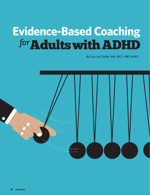# **Evidence-Based Coaching**  *for*Adults with ADHD

By Lisa Joy Tuttle, MA, BCC, NBC-HWC

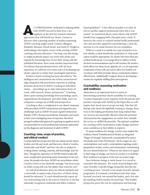**S** A PROFESSIONAL dedicated to helping adults with ADHD succeed in their lives, I am regularly on the alert for research-informed approaches that will benefit my clients. Curious to discover what a growing number of studies examining ADHD coaching might reveal, I joined colleagues Elizabeth Ahmann, Micah Saviet, and Sarah D. Wright in undertaking a descriptive review of the existing ADHD coaching outcomes literature.<sup>1</sup> Our hope was that doing so might positively impact our work with clients and expand the knowledge base of our field. Along with the published literature, there exists another important kind of evidence that practitioners know well: the keen experience we cultivate over many years of facilitating our clients' capacity to realize their meaningful aspirations.

Evidence-based coaching has been described as "the intelligent and conscientious use of best current knowledge integrated with practitioner expertise in making decisions about how to deliver coaching to individual clients… [providing] up-to-date information from relevant, valid research, theory, and practice."<sup>2</sup> Coaching draws upon existing knowledge from psychology, sport, organizational development, and other fields, and it encompasses a unique set of skills and perspectives.

Coaching is often a complement to our clients' treatment with prescribed ADHD medications and supportive psychotherapy such as ADHD-focused cognitive behavioral therapy (CBT). Because psychiatrists, therapists, and coaches have non-overlapping areas of expertise, this threepronged multimodal approach is gaining recognition and is recommended in recent professional consensus statements on the diagnosis and treatment of adult ADHD.<sup>3</sup>

## **Coaching: view, scope of practice, and ethical conduct**

Coaches hold the perspective that our clients are the expert in their own life and work, and that every client is "creative, resourceful, and whole"<sup>4</sup> and view our role, as catalyst in evoking clients' existing creativity, self-knowledge, and wisdom. Though the experience of ADHD indeed makes life more complicated, presenting many frustrations to be overcome, the people who have ADHD are nevertheless whole. Coaches convey to our clients the message, "our focus is not on what's *wrong* with you, but rather, what *works* for you!"

As with all professions, there are ethical standards and a universally accepted scope of practice, of which clients should be informed. "A coach should provide expert advice and teaching only in the areas in which he or she has nationally recognized credentials and follow evidence-

based guidelines."<sup>5</sup> A key ethical mandate is to refer clients to another support professional when this is warranted.<sup>6</sup> As mentioned above, many clients with ADHD benefit from engaging both a therapist and a coach. If, however, the coach is a trained mental health professional who also provides supportive psychotherapy, a clear distinction is to be made between the two modalities.

While as a coach it is outside my scope of practice to assess whether a client should take medication or what medication would be appropriate, for clients who have been prescribed medications, I encourage them to adhere to their doctor's recommendations and to self-monitor the medication's effects (on sleep, focus, appetite, etc.) as an important component of their self-care and to allow for fruitful conversations with their provider about a medication's relative effectiveness. Additionally, I support them in developing a routine for regularly refilling their prescriptions.

## **Coachability: assessing motivation and readiness**

Motivation is an important factor to assess in determining a potential client's suitability for coaching. Coaches frequently receive inquiries from the parents and partners of people with ADHD in the hopes that we will inspire their loved ones to accept our help. Like that old therapy joke about the lightbulb wanting to change, those of us in the helping professions have long realized that our services are maximally effective when the potential client pursues the engagement, no matter how valuable the service or skillful the provider. The optimal candidate for coaching will be motivated to make changes and have some confidence in their ability to improve.

To assess readiness for change, coaches may employ the evidence-based Transtheoretical Model, an integrated "Stages of Change" framework conceptualized by James Prochaska and Carlo DiClimente.<sup>7</sup> Its five stages are: precontemplation (not ready), contemplation (getting ready), preparation (ready), action, and maintenance (maintaining the new desired behavior). Wherever the client is in regard to their stage of change, our focus as coaches is to facilitate their readiness to progress to the next successive stage.

Since behavior change is rarely linear, it is crucial to normalize this dynamic. The words of psychologist-educator Dorothy Corkville Briggs eloquently describe the coaching process: "Growth is not steady, forward, upward progression. It is instead a switchback trail; three steps forward, two back, one around the bushes, and a few simply standing, before another forward leap." This healthy perspective paves the way for exploration and learning.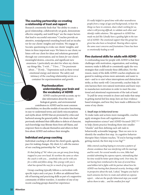# **The coaching partnership: co-creating a relationship of trust and rapport**

Research consistently finds that "the ability to create a good relationship, collaboratively set goals, demonstrate effective empathy, and instill hope" are the major factors that lead to successful outcomes.<sup>8</sup> Coaches provide an attentive, nonjudgmental sounding board and an incubator for our clients' insights and wisdom. We engage in Socratic questioning to evoke our clients' insights, and listen in three important ways: We listen to our client; we listen *with* our client for ideas and solutions generated through our conversation; and we listen *for* our client's meaningful desires, concerns, and significant new awareness. I particularly am alert for when my clients say things like, *"I wish…" "I love…" "I'm passionate about…" "If only…"* Expressions such as these reveal emotional energy and interest. The safety and intimacy of the coaching relationship serves as a container for experimentation and growth.

# **Psychoeducation: understanding your brain and the vocabulary of ADHD**

ADHD coaches provide accurate, up-todate information about the neurobiological, genetic, and environmental contributors in ADHD and its most common

comorbidities; we describe models of executive functioning in easy-to-understand terms; and clarify misconceptions and myths about ADHD that are promoted by critics and harbored among the general public. For clients who had previously attributed their difficulties to defects of character, such knowledge may liberate them from self-blame, and empower them to educate themselves and others in their lives about ADHD and embrace their strengths.

# **Individual and group coaching**

Individual coaching is all about the client's goals, agenda, pace for making changes. My client A.J. calls the essence of our coaching partnership the "we" aspect:

*It's that feeling of 'We' where you can get away from being trapped in your own head. It's nowhere the same as when the coach is with you… somebody who can be with you*  for a while and follow along. This synergy with you is *what has opened the way for so much of my growth.*

Group coaching typically follows a curriculum with specific topics and a set pace. It offers an additional benefit of learning and practicing skills as part of a supportive community of fellow travelers. A member of one of my recent coaching groups shared her experience:

*It's really helpful to spend time with other neurodiverse people from a range of ages and backgrounds, to hear the things we have in common, share what's working for us,*  what is still proving difficult, to validate each other and *identify viable solutions. This approach to ADHD has* made me feel like I finally have a guiding light in the tun*nel of ADHD. The emotional support that this group has given has also been so benefi cial. Hearing others express the same exact concerns and frustrations I have has been so emotionally healing as well.*

# **Five clustered skills for adults with ADHD**

A confounding issue for people with ADHD is that their challenges with motivation, organization, and working memory make it difficult to consistently apply the very strategies that could remedy these difficulties. For this reason, many of the skills ADHD coaches emphasize are geared to making actions more automatic and easier to start—and to *re-start* when interruptions and distractions strike, as they surely will. Concurrently, coaches help clients harness their own natural motivation and learn ways to manufacture motivation in order to meet the emotional and attentional requirements of the task at hand.

To pull far-away rewards in closer and make that ramp to getting started feel less steep, here are four evidencebased strategies, and how they have made a difference for some of my clients:

## *1. Small steps in behavioral terms*

To make tasks and actions more manageable, coaches apply strategies from self-regulation and implementation science<sup>8</sup> and ADHD-focused CBT,  $9,10,11$ to help clients practice breaking them into smaller "chunks" and then defining each sub-task in behaviorally actionable language. Then we zero in to identify the smallest first step. As cognitive behavior therapist Mary Solanto teaches, "If you're having trouble getting started, the first step is too big!" $11$ 

*Mike entered coaching hoping to overcome a pattern of chronic avoidance that was interfering with his marriage and his work. For several months in a row, Mike had avoided submitting his expense reports, rationalizing that his time would be better spent doing work. Over time, his not having been reimbursed to the tune of several thou*sand dollars led to fights with his partner about how his ADHD was hurting their financial security. Inviting a shift *in perspective about the task, I asked, "Imagine you had to teach someone else how to create and submit an expense report... what are the specific behavioral steps you would advise them to take... and the smallest first step?*